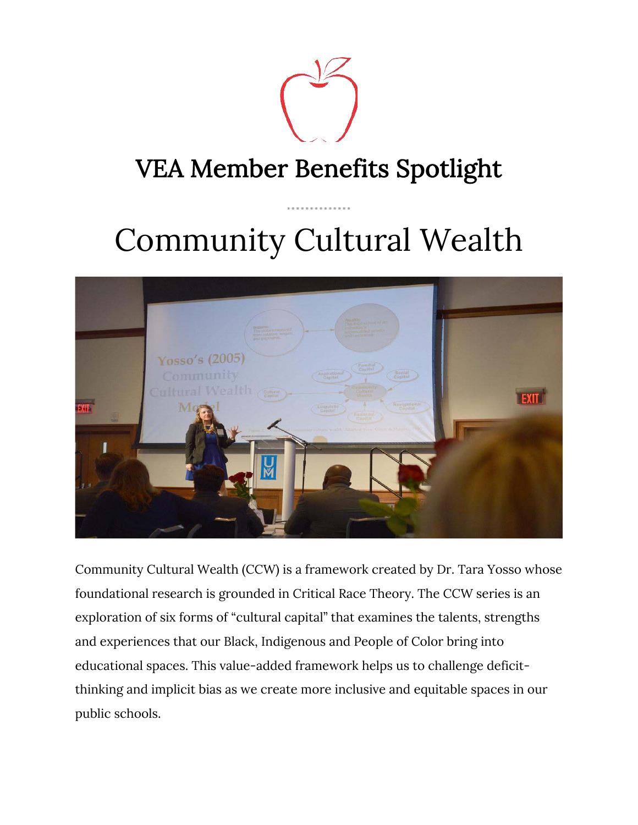

# Community Cultural Wealth



Community Cultural Wealth (CCW) is a framework created by Dr. Tara Yosso whose foundational research is grounded in Critical Race Theory. The CCW series is an exploration of six forms of "cultural capital" that examines the talents, strengths and experiences that our Black, Indigenous and People of Color bring into educational spaces. This value-added framework helps us to challenge deficitthinking and implicit bias as we create more inclusive and equitable spaces in our public schools.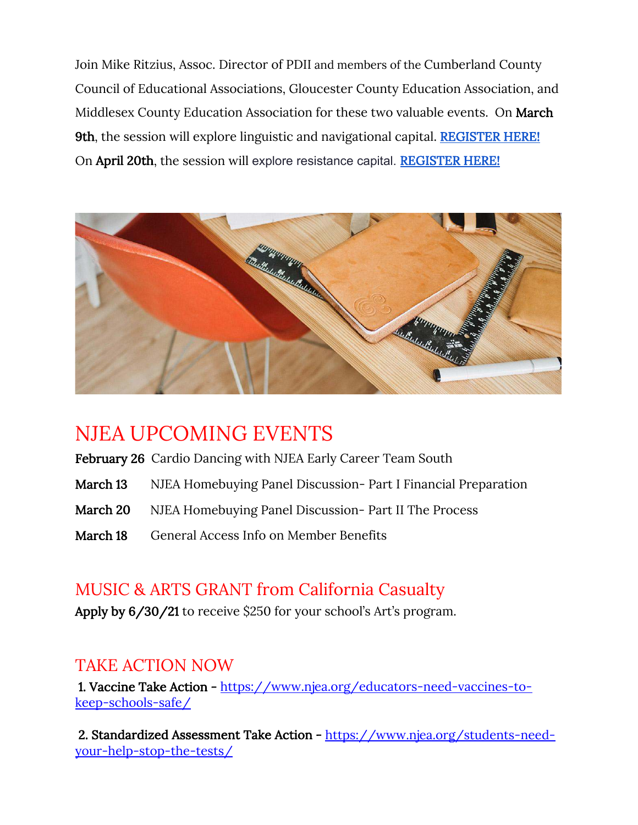Join Mike Ritzius, Assoc. Director of PDII and members of the Cumberland County Council of Educational Associations, Gloucester County Education Association, and Middlesex County Education Association for these two valuable events. On March 9th, the session will explore linguistic and navigational capital. REGISTER HERE! On April 20th, the session will explore resistance capital. REGISTER HERE!



### NJEA UPCOMING EVENTS

- February 26 Cardio Dancing with NJEA Early Career Team South
- March 13 NJEA Homebuying Panel Discussion- Part I Financial Preparation
- March 20 NJEA Homebuying Panel Discussion- Part II The Process
- March 18 General Access Info on Member Benefits

### MUSIC & ARTS GRANT from California Casualty

Apply by 6/30/21 to receive \$250 for your school's Art's program.

### TAKE ACTION NOW

1. Vaccine Take Action - https://www.njea.org/educators-need-vaccines-tokeep-schools-safe/

2. Standardized Assessment Take Action - https://www.njea.org/students-needyour-help-stop-the-tests/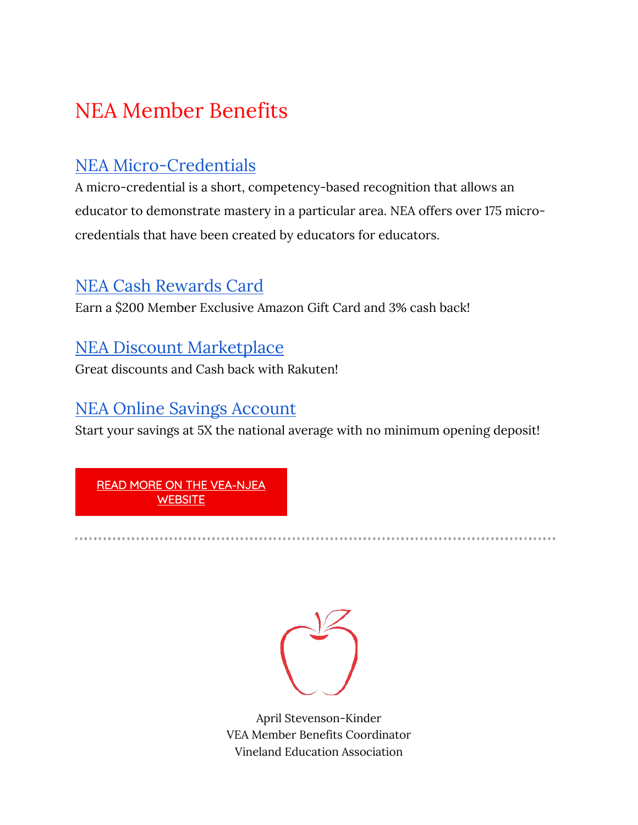## NEA Member Benefits

### NEA Micro-Credentials

A micro-credential is a short, competency-based recognition that allows an educator to demonstrate mastery in a particular area. NEA offers over 175 microcredentials that have been created by educators for educators.

### NEA Cash Rewards Card

Earn a \$200 Member Exclusive Amazon Gift Card and 3% cash back!

### NEA Discount Marketplace

Great discounts and Cash back with Rakuten!

### NEA Online Savings Account

Start your savings at 5X the national average with no minimum opening deposit!

READ MORE ON THE VEA-NJEA **WEBSITE** 



April Stevenson-Kinder VEA Member Benefits Coordinator Vineland Education Association